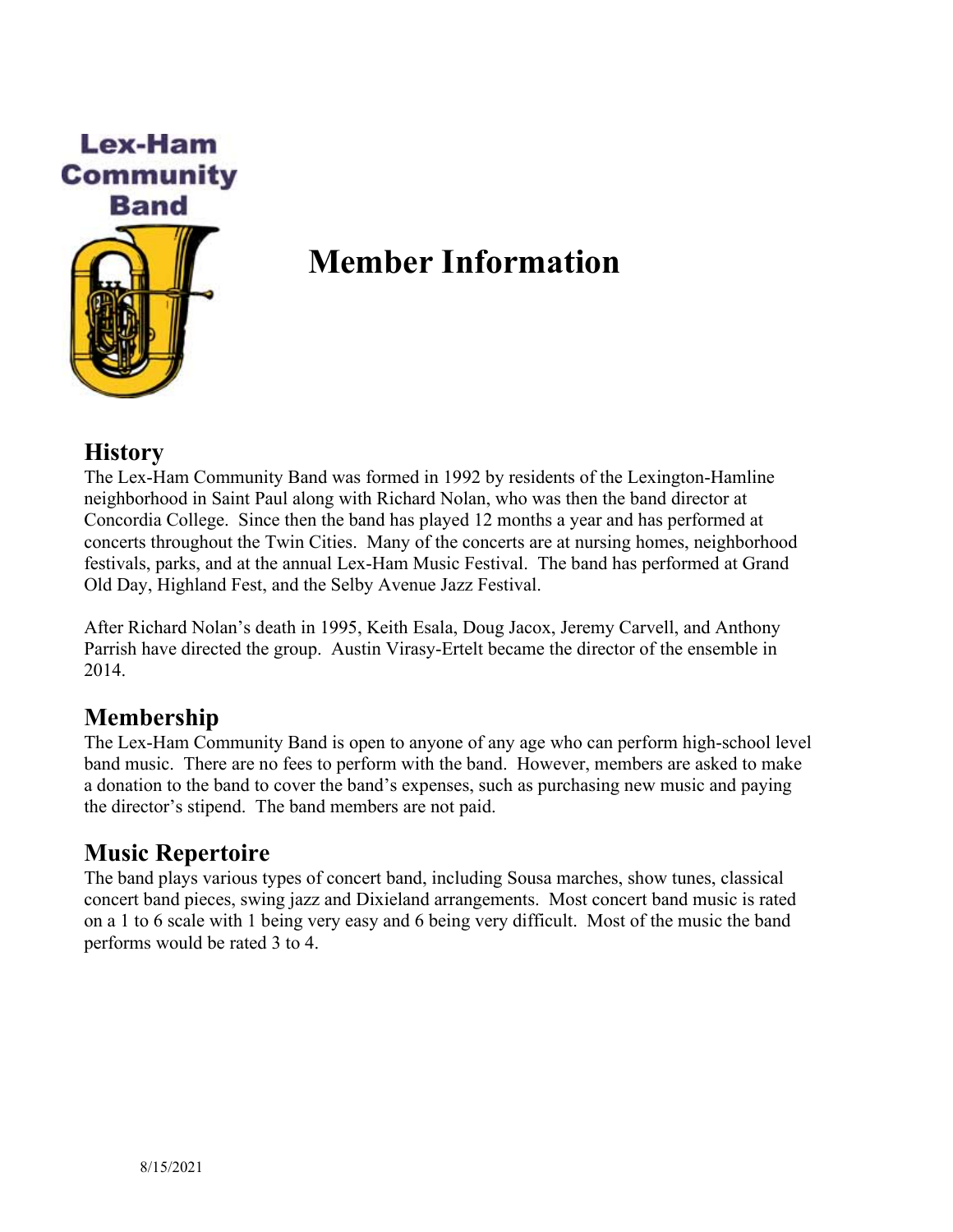

# **Member Information**

#### **History**

The Lex-Ham Community Band was formed in 1992 by residents of the Lexington-Hamline neighborhood in Saint Paul along with Richard Nolan, who was then the band director at Concordia College. Since then the band has played 12 months a year and has performed at concerts throughout the Twin Cities. Many of the concerts are at nursing homes, neighborhood festivals, parks, and at the annual Lex-Ham Music Festival. The band has performed at Grand Old Day, Highland Fest, and the Selby Avenue Jazz Festival.

After Richard Nolan's death in 1995, Keith Esala, Doug Jacox, Jeremy Carvell, and Anthony Parrish have directed the group. Austin Virasy-Ertelt became the director of the ensemble in 2014.

#### **Membership**

The Lex-Ham Community Band is open to anyone of any age who can perform high-school level band music. There are no fees to perform with the band. However, members are asked to make a donation to the band to cover the band's expenses, such as purchasing new music and paying the director's stipend. The band members are not paid.

## **Music Repertoire**

The band plays various types of concert band, including Sousa marches, show tunes, classical concert band pieces, swing jazz and Dixieland arrangements. Most concert band music is rated on a 1 to 6 scale with 1 being very easy and 6 being very difficult. Most of the music the band performs would be rated 3 to 4.